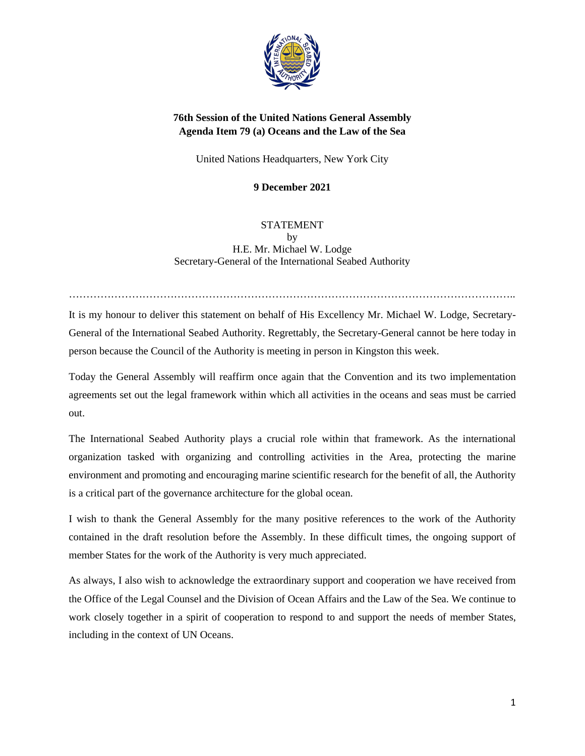

# **76th Session of the United Nations General Assembly Agenda Item 79 (a) Oceans and the Law of the Sea**

United Nations Headquarters, New York City

**9 December 2021**

## STATEMENT by H.E. Mr. Michael W. Lodge Secretary-General of the International Seabed Authority

It is my honour to deliver this statement on behalf of His Excellency Mr. Michael W. Lodge, Secretary-General of the International Seabed Authority. Regrettably, the Secretary-General cannot be here today in person because the Council of the Authority is meeting in person in Kingston this week.

………………………………………………………………………………………………………………..

Today the General Assembly will reaffirm once again that the Convention and its two implementation agreements set out the legal framework within which all activities in the oceans and seas must be carried out.

The International Seabed Authority plays a crucial role within that framework. As the international organization tasked with organizing and controlling activities in the Area, protecting the marine environment and promoting and encouraging marine scientific research for the benefit of all, the Authority is a critical part of the governance architecture for the global ocean.

I wish to thank the General Assembly for the many positive references to the work of the Authority contained in the draft resolution before the Assembly. In these difficult times, the ongoing support of member States for the work of the Authority is very much appreciated.

As always, I also wish to acknowledge the extraordinary support and cooperation we have received from the Office of the Legal Counsel and the Division of Ocean Affairs and the Law of the Sea. We continue to work closely together in a spirit of cooperation to respond to and support the needs of member States, including in the context of UN Oceans.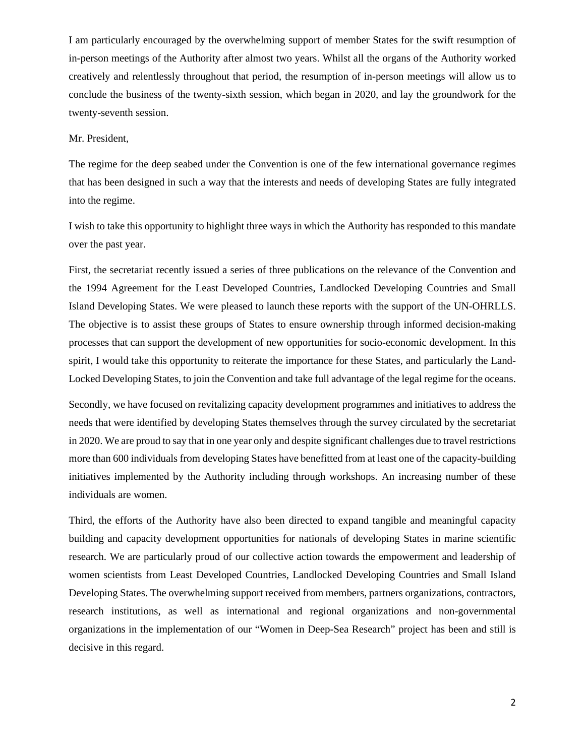I am particularly encouraged by the overwhelming support of member States for the swift resumption of in-person meetings of the Authority after almost two years. Whilst all the organs of the Authority worked creatively and relentlessly throughout that period, the resumption of in-person meetings will allow us to conclude the business of the twenty-sixth session, which began in 2020, and lay the groundwork for the twenty-seventh session.

#### Mr. President,

The regime for the deep seabed under the Convention is one of the few international governance regimes that has been designed in such a way that the interests and needs of developing States are fully integrated into the regime.

I wish to take this opportunity to highlight three ways in which the Authority has responded to this mandate over the past year.

First, the secretariat recently issued a series of three publications on the relevance of the Convention and the 1994 Agreement for the Least Developed Countries, Landlocked Developing Countries and Small Island Developing States. We were pleased to launch these reports with the support of the UN-OHRLLS. The objective is to assist these groups of States to ensure ownership through informed decision-making processes that can support the development of new opportunities for socio-economic development. In this spirit, I would take this opportunity to reiterate the importance for these States, and particularly the Land-Locked Developing States, to join the Convention and take full advantage of the legal regime for the oceans.

Secondly, we have focused on revitalizing capacity development programmes and initiatives to address the needs that were identified by developing States themselves through the survey circulated by the secretariat in 2020. We are proud to say that in one year only and despite significant challenges due to travel restrictions more than 600 individuals from developing States have benefitted from at least one of the capacity-building initiatives implemented by the Authority including through workshops. An increasing number of these individuals are women.

Third, the efforts of the Authority have also been directed to expand tangible and meaningful capacity building and capacity development opportunities for nationals of developing States in marine scientific research. We are particularly proud of our collective action towards the empowerment and leadership of women scientists from Least Developed Countries, Landlocked Developing Countries and Small Island Developing States. The overwhelming support received from members, partners organizations, contractors, research institutions, as well as international and regional organizations and non-governmental organizations in the implementation of our "Women in Deep-Sea Research" project has been and still is decisive in this regard.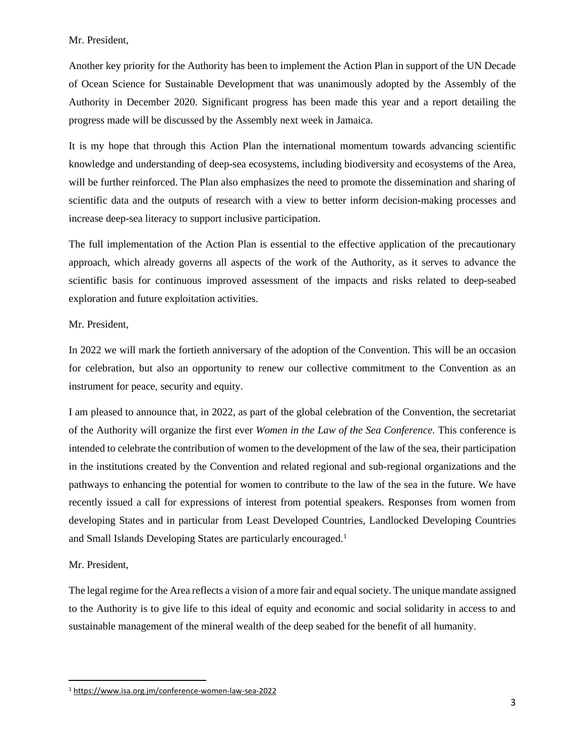#### Mr. President,

Another key priority for the Authority has been to implement the Action Plan in support of the UN Decade of Ocean Science for Sustainable Development that was unanimously adopted by the Assembly of the Authority in December 2020. Significant progress has been made this year and a report detailing the progress made will be discussed by the Assembly next week in Jamaica.

It is my hope that through this Action Plan the international momentum towards advancing scientific knowledge and understanding of deep-sea ecosystems, including biodiversity and ecosystems of the Area, will be further reinforced. The Plan also emphasizes the need to promote the dissemination and sharing of scientific data and the outputs of research with a view to better inform decision-making processes and increase deep-sea literacy to support inclusive participation.

The full implementation of the Action Plan is essential to the effective application of the precautionary approach, which already governs all aspects of the work of the Authority, as it serves to advance the scientific basis for continuous improved assessment of the impacts and risks related to deep-seabed exploration and future exploitation activities.

### Mr. President,

In 2022 we will mark the fortieth anniversary of the adoption of the Convention. This will be an occasion for celebration, but also an opportunity to renew our collective commitment to the Convention as an instrument for peace, security and equity.

I am pleased to announce that, in 2022, as part of the global celebration of the Convention, the secretariat of the Authority will organize the first ever *Women in the Law of the Sea Conference.* This conference is intended to celebrate the contribution of women to the development of the law of the sea, their participation in the institutions created by the Convention and related regional and sub-regional organizations and the pathways to enhancing the potential for women to contribute to the law of the sea in the future. We have recently issued a call for expressions of interest from potential speakers. Responses from women from developing States and in particular from Least Developed Countries, Landlocked Developing Countries and Small Islands Developing States are particularly encouraged.[1](#page-2-0)

### Mr. President,

The legal regime for the Area reflects a vision of a more fair and equal society. The unique mandate assigned to the Authority is to give life to this ideal of equity and economic and social solidarity in access to and sustainable management of the mineral wealth of the deep seabed for the benefit of all humanity.

<span id="page-2-0"></span><sup>1</sup> <https://www.isa.org.jm/conference-women-law-sea-2022>